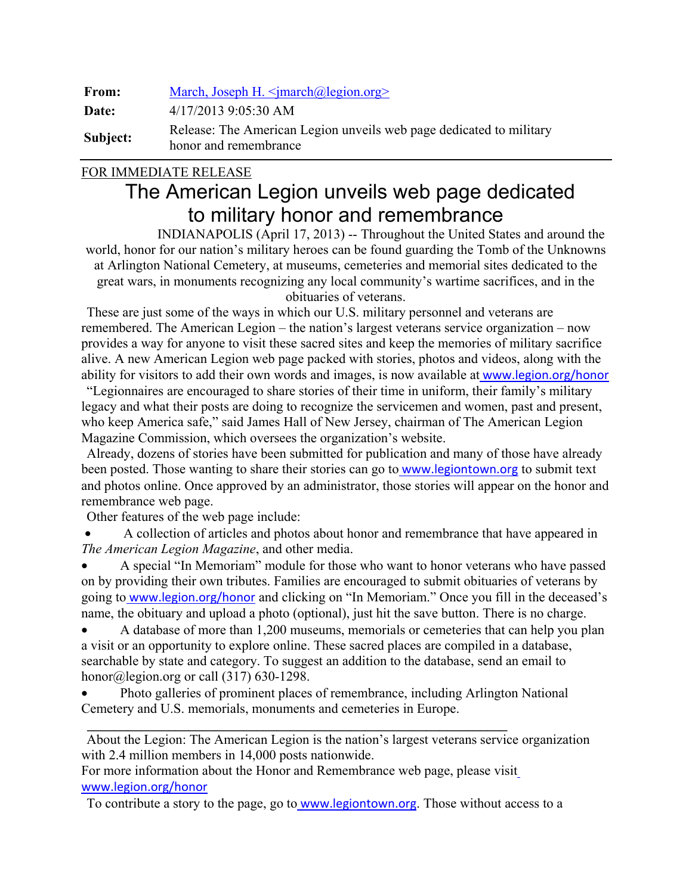| From:    | March, Joseph H. $\leq$ jmarch $\omega$ legion.org>                                          |
|----------|----------------------------------------------------------------------------------------------|
| Date:    | $4/17/2013$ 9:05:30 AM                                                                       |
| Subject: | Release: The American Legion unveils web page dedicated to military<br>honor and remembrance |

## FOR IMMEDIATE RELEASE

## The American Legion unveils web page dedicated to military honor and remembrance

 INDIANAPOLIS (April 17, 2013) -- Throughout the United States and around the world, honor for our nation's military heroes can be found guarding the Tomb of the Unknowns at Arlington National Cemetery, at museums, cemeteries and memorial sites dedicated to the great wars, in monuments recognizing any local community's wartime sacrifices, and in the obituaries of veterans.

 These are just some of the ways in which our U.S. military personnel and veterans are remembered. The American Legion – the nation's largest veterans service organization – now provides a way for anyone to visit these sacred sites and keep the memories of military sacrifice alive. A new American Legion web page packed with stories, photos and videos, along with the ability for visitors to add their own words and images, is now available at www.legion.org/honor

 "Legionnaires are encouraged to share stories of their time in uniform, their family's military legacy and what their posts are doing to recognize the servicemen and women, past and present, who keep America safe," said James Hall of New Jersey, chairman of The American Legion Magazine Commission, which oversees the organization's website.

 Already, dozens of stories have been submitted for publication and many of those have already been posted. Those wanting to share their stories can go to www.legiontown.org to submit text and photos online. Once approved by an administrator, those stories will appear on the honor and remembrance web page.

Other features of the web page include:

• A collection of articles and photos about honor and remembrance that have appeared in *The American Legion Magazine*, and other media.

• A special "In Memoriam" module for those who want to honor veterans who have passed on by providing their own tributes. Families are encouraged to submit obituaries of veterans by going to www.legion.org/honor and clicking on "In Memoriam." Once you fill in the deceased's name, the obituary and upload a photo (optional), just hit the save button. There is no charge.

• A database of more than 1,200 museums, memorials or cemeteries that can help you plan a visit or an opportunity to explore online. These sacred places are compiled in a database, searchable by state and category. To suggest an addition to the database, send an email to honor@legion.org or call (317) 630-1298.

• Photo galleries of prominent places of remembrance, including Arlington National Cemetery and U.S. memorials, monuments and cemeteries in Europe.

 About the Legion: The American Legion is the nation's largest veterans service organization with 2.4 million members in 14,000 posts nationwide.

For more information about the Honor and Remembrance web page, please visit www.legion.org/honor

 **\_\_\_\_\_\_\_\_\_\_\_\_\_\_\_\_\_\_\_\_\_\_\_\_\_\_\_\_\_\_\_\_\_\_\_\_\_\_\_\_\_\_\_\_\_\_\_\_\_\_\_\_\_\_\_\_\_\_\_\_\_\_** 

To contribute a story to the page, go to www.legiontown.org. Those without access to a